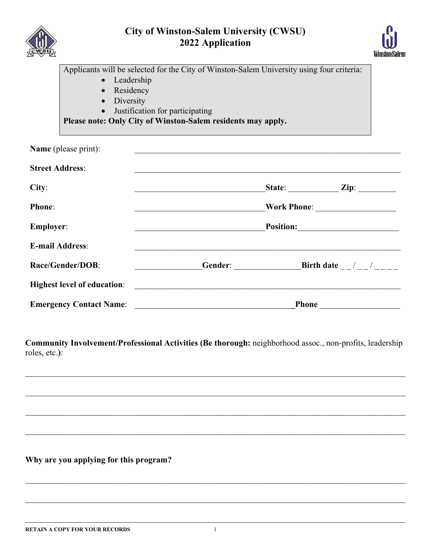

# **City of Winston-Salem University (CWSU) 2022 Application**



|                                                                               | Applicants will be selected for the City of Winston-Salem University using four criteria: |  |                                    |
|-------------------------------------------------------------------------------|-------------------------------------------------------------------------------------------|--|------------------------------------|
| • Leadership                                                                  |                                                                                           |  |                                    |
| • Residency                                                                   |                                                                                           |  |                                    |
| Diversity<br>$\bullet$                                                        |                                                                                           |  |                                    |
| • Justification for participating                                             |                                                                                           |  |                                    |
|                                                                               | Please note: Only City of Winston-Salem residents may apply.                              |  |                                    |
|                                                                               |                                                                                           |  |                                    |
| Name (please print):                                                          |                                                                                           |  |                                    |
| <b>Street Address:</b>                                                        |                                                                                           |  |                                    |
|                                                                               |                                                                                           |  |                                    |
| City:                                                                         |                                                                                           |  | State: $\qquad \qquad \text{Zip:}$ |
|                                                                               |                                                                                           |  |                                    |
| <b>Phone:</b>                                                                 |                                                                                           |  |                                    |
| <b>Employer:</b>                                                              | Position:                                                                                 |  |                                    |
|                                                                               |                                                                                           |  |                                    |
| <b>E-mail Address:</b>                                                        |                                                                                           |  |                                    |
| <b>Race/Gender/DOB:</b>                                                       |                                                                                           |  |                                    |
|                                                                               |                                                                                           |  |                                    |
| <b>Example 18 In the United States of education:</b> The States of education: |                                                                                           |  |                                    |
| <b>Emergency Contact Name:</b>                                                | <b>Phone</b>                                                                              |  |                                    |

**Community Involvement/Professional Activities (Be thorough:** neighborhood assoc., non-profits, leadership roles, etc.**)**:

**Why are you applying for this program?**